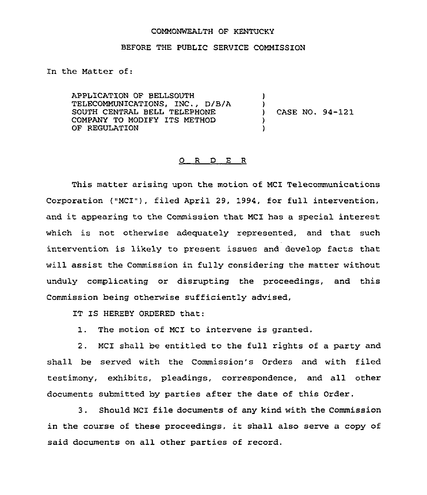## COMMONWEALTH QF KENTUCKY

## BEFORE THE PUBLIC SERVICE COMMISSION

In the Matter of:

APPLICATION OF BELLSOUTH TELECOMMUNICATIONS, INC., D/B/A SOUTH CENTRAL BELL TELEPHONE COMPANY TO MODIFY ITS METHOD OF REGULATION ) )<br>) ) )

) CASE NO. 94-121

## 0 R D E <sup>R</sup>

This matter arising upon the motion of MCI Telecommunications Corporation ("MCI"), filed April 29, 1994, for full intervention, and it appearing to the Commission that MCI has <sup>a</sup> special interest which is not otherwise adequately represented, and that such intervention is likely to present issues and develop facts that will assist the Commission in fully considering the matter without unduly complicating or disrupting the proceedings, and this Commission being otherwise sufficiently advised,

IT IS HEREBY ORDERED that:

1. The motion of MCI to intervene is granted.

2. MCI shall be entitled to the full rights of a party and shall be served with the Commission's Orders and with filed testimony, exhibits, pleadings, correspondence, and all other documents submitted by parties after the date of this Order.

3. Should MCI file documents of any kind with the Commission in the course of these proceedings, it shall also serve <sup>a</sup> copy of said documents on all other parties of record.